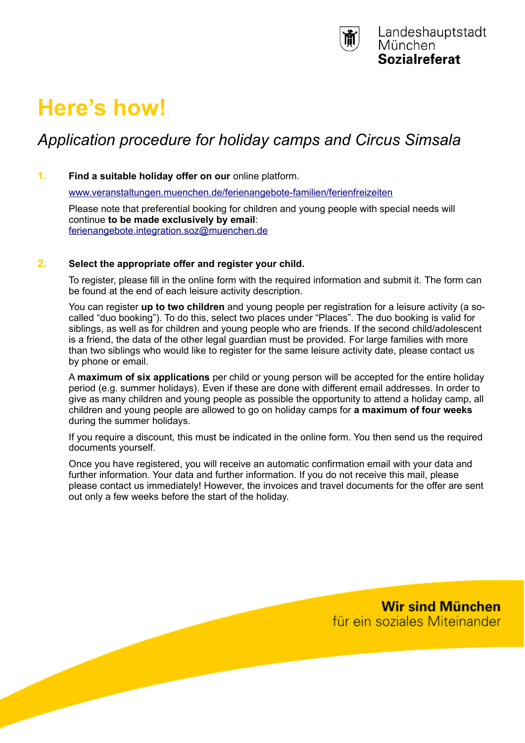

# **Here's how!**

# *Application procedure for holiday camps and Circus Simsala*

## **1. Find a suitable holiday offer on our** online platform.

[www.veranstaltungen.muenchen.de/ferienangebote-familien/ferienfreizeiten](http://www.veranstaltungen.muenchen.de/ferienangebote-familien/ferienfreizeiten)

Please note that preferential booking for children and young people with special needs will continue **to be made exclusively by email**: [ferienangebote.integration.soz@muenchen.de](mailto:ferienangebote.integration.soz@muenchen.de)

#### **2. Select the appropriate offer and register your child.**

To register, please fill in the online form with the required information and submit it. The form can be found at the end of each leisure activity description.

You can register **up to two children** and young people per registration for a leisure activity (a socalled "duo booking"). To do this, select two places under "Places". The duo booking is valid for siblings, as well as for children and young people who are friends. If the second child/adolescent is a friend, the data of the other legal guardian must be provided. For large families with more than two siblings who would like to register for the same leisure activity date, please contact us by phone or email.

A **maximum of six applications** per child or young person will be accepted for the entire holiday period (e.g. summer holidays). Even if these are done with different email addresses. In order to give as many children and young people as possible the opportunity to attend a holiday camp, all children and young people are allowed to go on holiday camps for **a maximum of four weeks** during the summer holidays.

If you require a discount, this must be indicated in the online form. You then send us the required documents yourself.

Once you have registered, you will receive an automatic confirmation email with your data and further information. Your data and further information. If you do not receive this mail, please please contact us immediately! However, the invoices and travel documents for the offer are sent out only a few weeks before the start of the holiday.

> **Wir sind München** für ein soziales Miteinander